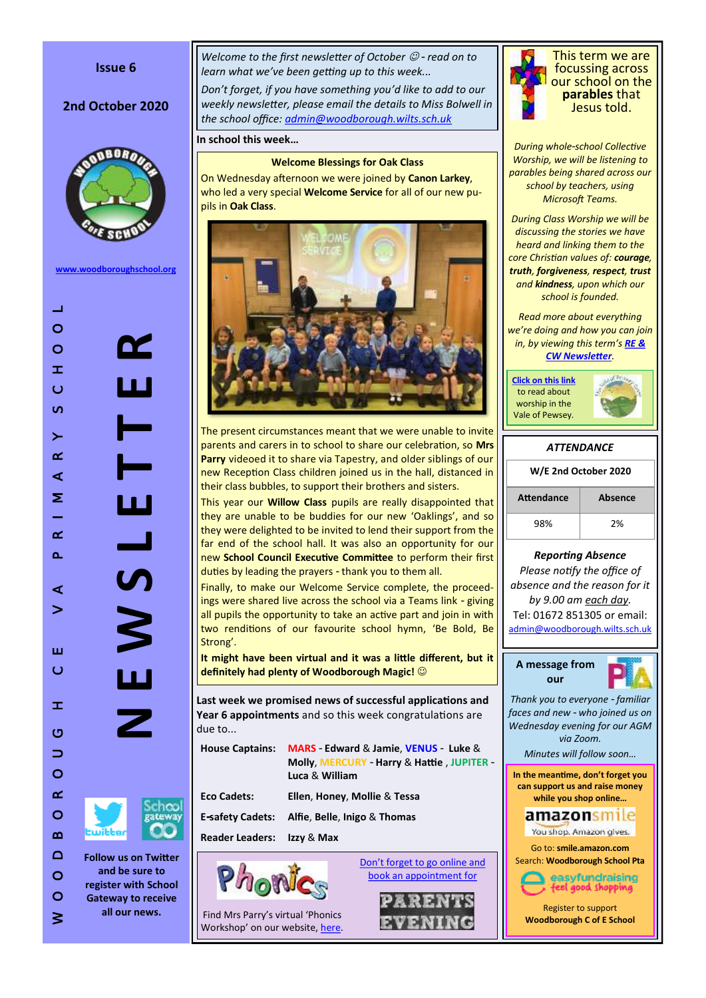### **Issue 6**

# 2nd October 2020



**[www.woodboroughschool.org](https://woodboroughschool.org/)**



*Welcome to the first newsletter of October*  $\mathcal{O}$  *- read on to learn what we've been getting up to this week...*

*Don't forget, if you have something you'd like to add to our weekly newsletter, please email the details to Miss Bolwell in the school office: [admin@woodborough.wilts.sch.uk](mailto:admin@woodborough.wilts.sch.uk)*

**In school this week…**

#### **Welcome Blessings for Oak Class**

On Wednesday afternoon we were joined by **Canon Larkey**, who led a very special **Welcome Service** for all of our new pupils in **Oak Class**.



The present circumstances meant that we were unable to invite parents and carers in to school to share our celebration, so **Mrs Parry** videoed it to share via Tapestry, and older siblings of our new Reception Class children joined us in the hall, distanced in their class bubbles, to support their brothers and sisters.

This year our **Willow Class** pupils are really disappointed that they are unable to be buddies for our new 'Oaklings', and so they were delighted to be invited to lend their support from the far end of the school hall. It was also an opportunity for our new **School Council Executive Committee** to perform their first duties by leading the prayers - thank you to them all.

Finally, to make our Welcome Service complete, the proceedings were shared live across the school via a Teams link - giving all pupils the opportunity to take an active part and join in with two renditions of our favourite school hymn, 'Be Bold, Be Strong'.

**It might have been virtual and it was a little different, but it definitely had plenty of Woodborough Magic!** 

**Last week we promised news of successful applications and Year 6 appointments** and so this week congratulations are due to...

| <b>House Captains:</b>                | <b>MARS</b> - Edward & Jamie, VENUS - Luke &<br>Molly, MERCURY - Harry & Hattie, JUPITER -<br>Luca & William |
|---------------------------------------|--------------------------------------------------------------------------------------------------------------|
| <b>Eco Cadets:</b>                    | Ellen, Honey, Mollie & Tessa                                                                                 |
| <b>E-safety Cadets:</b>               | Alfie, Belle, Inigo & Thomas                                                                                 |
| <b>Reader Leaders: Izzy &amp; Max</b> |                                                                                                              |

[Don't forget to go online and](https://woodboroughschool.org/wp-content/uploads/2020/09/Letter-to-Parents-Carers-re.-Parents-Evenings-Autumn-Term-2020-29.09.20.pdf)  [book an appointment for](https://woodboroughschool.org/wp-content/uploads/2020/09/Letter-to-Parents-Carers-re.-Parents-Evenings-Autumn-Term-2020-29.09.20.pdf)



Find Mrs Parry's virtual 'Phonics Workshop' on our website, [here.](https://woodboroughschool.org/classes-curriculum/oak-class/)



This term we are focussing across our school on the **parables** that Jesus told.

*During whole-school Collective Worship, we will be listening to parables being shared across our school by teachers, using Microsoft Teams.* 

*During Class Worship we will be discussing the stories we have heard and linking them to the core Christian values of: courage, truth, forgiveness, respect, trust and kindness, upon which our school is founded.*

*Read more about everything we're doing and how you can join in, by viewing this term's [RE &](https://woodboroughschool.org/wp-content/uploads/2020/09/RE-NEWSLETTER-Autumn-1-2020-Parables.pdf)  [CW Newsletter](https://woodboroughschool.org/wp-content/uploads/2020/09/RE-NEWSLETTER-Autumn-1-2020-Parables.pdf).*

**[Click on this link](https://www.valeofpewsey.org/)** to read about worship in the Vale of Pewsey.



| <b>ATTENDANCE</b>    |                |  |  |  |  |
|----------------------|----------------|--|--|--|--|
| W/E 2nd October 2020 |                |  |  |  |  |
| <b>Attendance</b>    | <b>Absence</b> |  |  |  |  |
| 98%                  | 2%             |  |  |  |  |

*Reporting Absence*

*Please notify the office of absence and the reason for it by 9.00 am each day.* 

Tel: 01672 851305 or email: [admin@woodborough.wilts.sch.uk](mailto:admin@woodborough.wilts.sch.uk)



*Thank you to everyone - familiar faces and new - who joined us on Wednesday evening for our AGM via Zoom.* 

*Minutes will follow soon…*

**In the meantime, don't forget you can support us and raise money while you shop online…**

# amazonsmile

You shop. Amazon gives.

Go to: **smile.amazon.com**  Search: **Woodborough School Pta**



Register to support **Woodborough C of E School**